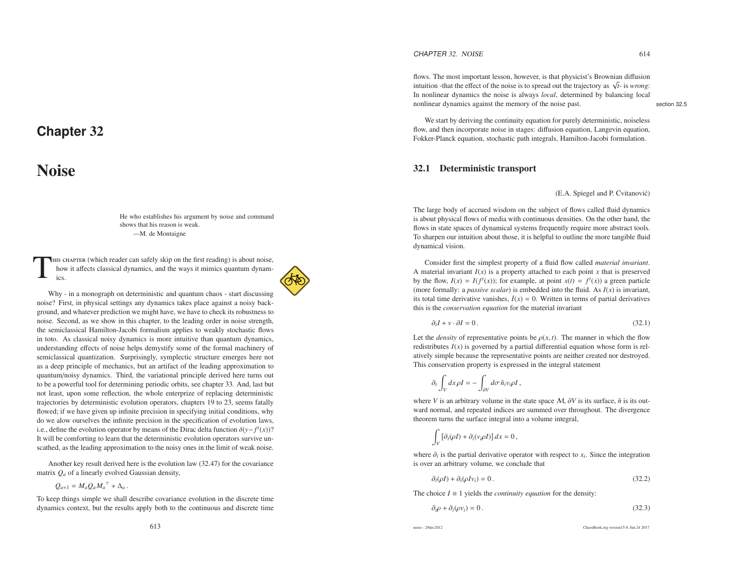# **Chapter** <sup>32</sup>

# Noise

He who establishes his argumen<sup>t</sup> by noise and commandshows that his reason is weak. —M. de Montaigne

This chapter (which reader can safely skip on the first reading) is about noise, how it <sup>a</sup>ffects classical dynamics, and the ways it mimics quantum dynam- ics.

Why - in <sup>a</sup> monograph on deterministic and quantum chaos - start discussing noise? First, in physical settings any dynamics takes place against <sup>a</sup> noisy background, and whatever prediction we might have, we have to check its robustness to noise. Second, as we show in this chapter, to the leading order in noise strength, the semiclassical Hamilton-Jacobi formalism applies to weakly stochastic flows in toto. As classical noisy dynamics is more intuitive than quantum dynamics, understanding <sup>e</sup>ffects of noise helps demystify some of the formal machinery of semiclassical quantization. Surprisingly, symplectic structure emerges here not as <sup>a</sup> deep principle of mechanics, but an artifact of the leading approximation to quantum/noisy dynamics. Third, the variational principle derived here turns out to be <sup>a</sup> powerful tool for determining periodic orbits, see chapter 33. And, last but not least, upon some reflection, the whole enterprize of replacing deterministic trajectories by deterministic evolution operators, chapters 19 to 23, seems fatally flowed; if we have given up infinite precision in specifying initial conditions, why do we alow ourselves the infinite precision in the specification of evolution laws, i.e., define the evolution operator by means of the Dirac delta function  $\delta(y - f^t(x))$ ? It will be comforting to learn that the deterministic evolution operators survive unscathed, as the leading approximation to the noisy ones in the limit of weak noise.

Another key result derived here is the evolution law (32.47) for the covariancematrix *Q<sup>a</sup>* of <sup>a</sup> linearly evolved Gaussian density,

 $Q_{a+1} = M_a Q_a M_a^{\top} + \Delta_a$ .

To keep things simple we shall describe covariance evolution in the discrete timedynamics context, but the results apply both to the continuous and discrete time

CHAPTER 32. NOISE  $32. \text{ NOISE}$  614

flows. The most important lesson, however, is that physicist's Brownian diffusion intuition -that the <sup>e</sup>ffect of the noise is to spread out the trajectory as √*<sup>t</sup>*- is *wrong*: In nonlinear dynamics the noise is always *local*, determined by balancing local nonlinear dynamics against the memory of the noise past. Section 32.5

We start by deriving the continuity equation for purely deterministic, noiseless flow, and then incorporate noise in stages: diffusion equation, Langevin equation, Fokker-Planck equation, stochastic path integrals, Hamilton-Jacobi formulation.

## 32.1 Deterministic transport

(E.A. Spiegel and P. Cvitanović)

The large body of accrued wisdom on the subject of flows called fluid dynamics is about physical flows of media with continuous densities. On the other hand, theflows in state spaces of dynamical systems frequently require more abstract tools. To sharpen our intuition about those, it is helpful to outline the more tangible fluiddynamical vision.

Consider first the simplest property of <sup>a</sup> fluid flow called *material invariant*. A material invariant *<sup>I</sup>*(*x*) is <sup>a</sup> property attached to each point *<sup>x</sup>* that is preserve<sup>d</sup>by the flow,  $I(x) = I(f^{t}(x))$ ; for example, at point  $x(t) = f^{t}(x)$  a green particle (more formally: <sup>a</sup> *passive scalar*) is embedded into the fluid. As *<sup>I</sup>*(*x*) is invariant, its total time derivative vanishes,  $\dot{I}(x) = 0$ . Written in terms of partial derivatives this is the *conservation equation* for the material invariant

$$
\partial_t I + v \cdot \partial I = 0. \tag{32.1}
$$

Let the *density* of representative points be  $\rho(x, t)$ . The manner in which the flow redistributes *<sup>I</sup>*(*x*) is governe<sup>d</sup> by <sup>a</sup> partial differential equation whose form is relatively simple because the representative points are neither created nor destroyed. This conservation property is expressed in the integral statement

$$
\partial_t \int_V dx \rho I = - \int_{\partial V} d\sigma \,\hat{n}_i v_i \rho I \,,
$$

where *V* is an arbitrary volume in the state space  $M$ ,  $\partial V$  is its surface,  $\hat{n}$  is its outward normal, and repeated indices are summed over throughout. The divergencetheorem turns the surface integral into <sup>a</sup> volume integral,

$$
\int_V \left[\partial_t(\rho I) + \partial_i(v_i \rho I)\right] dx = 0,
$$

where  $\partial_i$  is the partial derivative operator with respect to  $x_i$ . Since the integration is over an arbitrary volume, we conclude that

$$
\partial_t(\rho I) + \partial_i(\rho I v_i) = 0. \tag{32.2}
$$

The choice *<sup>I</sup>* <sup>≡</sup> <sup>1</sup> <sup>y</sup>ields the *continuity equation* for the density:

$$
\partial_i \rho + \partial_i (\rho v_i) = 0. \tag{32.3}
$$

noise - 29dec2012

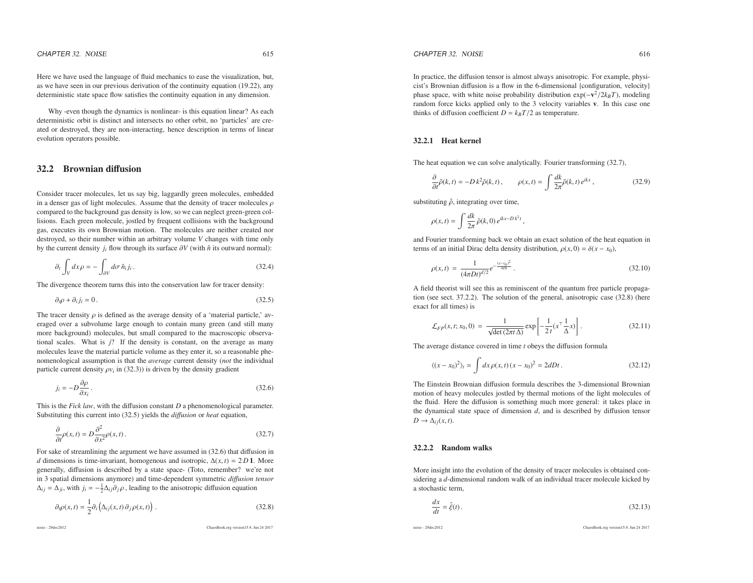Here we have used the language of fluid mechanics to ease the visualization, but, as we have seen in our previous derivation of the continuity equation (19.22), anydeterministic state space flow satisfies the continuity equation in any dimension.

Why -even though the dynamics is nonlinear- is this equation linear? As each deterministic orbit is distinct and intersects no other orbit, no 'particles' are created or destroyed, they are non-interacting, hence description in terms of linearevolution operators possible.

## 32.2 Brownian diffusion

Consider tracer molecules, let us say big, laggardly green molecules, embeddedin a denser gas of light molecules. Assume that the density of tracer molecules  $\rho$  compared to the background gas density is low, so we can neglect green-green collisions. Each green molecule, jostled by frequent collisions with the background gas, executes its own Brownian motion. The molecules are neither created nor destroyed, so their number within an arbitrary volume*V* changes with time only by the current density  $j_i$  flow through its surface  $\partial V$  (with  $\hat{n}$  its outward normal):

$$
\partial_t \int_V dx \rho = - \int_{\partial V} d\sigma \,\hat{n}_i j_i. \tag{32.4}
$$

The divergence theorem turns this into the conservation law for tracer density:

$$
\partial_t \rho + \partial_i j_i = 0. \tag{32.5}
$$

The tracer density  $\rho$  is defined as the average density of a 'material particle,' averaged over <sup>a</sup> subvolume large enough to contain many green (and still many more background) molecules, but small compared to the macroscopic observational scales. What is *j*? If the density is constant, on the average as many molecules leave the material particle volume as they enter it, so <sup>a</sup> reasonable phenomenological assumption is that the *average* current density (*not* the individual particle current density  $\rho v_i$  in (32.3)) is driven by the density gradient

$$
j_i = -D \frac{\partial \rho}{\partial x_i}.
$$
\n(32.6)

This is the *Fick law*, with the diffusion constant *D* a phenomenological parameter. Substituting this current into (32.5) yields the *di*ff*usion* or *heat* equation,

$$
\frac{\partial}{\partial t}\rho(x,t) = D\frac{\partial^2}{\partial x^2}\rho(x,t). \tag{32.7}
$$

For sake of streamlining the argumen<sup>t</sup> we have assumed in (32.6) that diffusion in*d* dimensions is time-invariant, homogenous and isotropic,  $\Delta(x, t) = 2D1$ . More generally, diffusion is described by <sup>a</sup> state space- (Toto, remember? we're not in 3 spatial dimensions anymore) and time-dependent symmetric *di*ff*usion tensor*  $\Delta_{ij} = \Delta_{ji}$ , with  $j_i = -\frac{1}{2}\Delta_{ij}\partial_j \rho$ , leading to the anisotropic diffusion equation

$$
\partial_t \rho(x,t) = \frac{1}{2} \partial_i \left( \Delta_{ij}(x,t) \partial_j \rho(x,t) \right). \tag{32.8}
$$

noise - 29dec2012

ChaosBook.org version15.9, Jun <sup>24</sup> <sup>2017</sup>

In practice, the diffusion tensor is almost always anisotropic. For example, physi cist's Brownian diffusion is <sup>a</sup> flow in the 6-dimensional {configuration, velocity}phase space, with white noise probability distribution  $\exp(-\mathbf{v}^2/2k_BT)$ , modeling random force kicks applied only to the 3 velocity variables <sup>v</sup>. In this case onethinks of diffusion coefficient  $D = k_B T/2$  as temperature.

### 32.2.1 Heat kernel

The heat equation we can solve analytically. Fourier transforming (32.7),

$$
\frac{\partial}{\partial t}\tilde{\rho}(k,t) = -Dk^2\tilde{\rho}(k,t), \qquad \rho(x,t) = \int \frac{dk}{2\pi}\tilde{\rho}(k,t) e^{ikx}, \qquad (32.9)
$$

substituting  $\dot{\rho}$ , integrating over time,

$$
\rho(x,t) = \int \frac{dk}{2\pi} \tilde{\rho}(k,0) e^{ikx - Dk^2t},
$$

and Fourier transforming back we obtain an exact solution of the heat equation interms of an initial Dirac delta density distribution,  $\rho(x, 0) = \delta(x - x_0)$ ,

$$
\rho(x,t) = \frac{1}{(4\pi Dt)^{d/2}} e^{-\frac{(x-x_0)^2}{4Dt}}.
$$
\n(32.10)

A field theorist will see this as reminiscent of the quantum free particle propagation (see sect. 37.2.2). The solution of the general, anisotropic case (32.8) (hereexact for all times) is

$$
\mathcal{L}_{FP}(x,t;x_0,0) = \frac{1}{\sqrt{\det(2\pi t \Delta)}} \exp\left[-\frac{1}{2t}(x^{\top} \frac{1}{\Delta}x)\right].
$$
 (32.11)

The average distance covered in time *<sup>t</sup>* obeys the di ffusion formula

$$
\langle (x - x_0)^2 \rangle_t = \int dx \rho(x, t) (x - x_0)^2 = 2dDt. \tag{32.12}
$$

The Einstein Brownian diffusion formula describes the 3-dimensional Brownian motion of heavy molecules jostled by thermal motions of the light molecules of the fluid. Here the diffusion is something much more general: it takes place in the dynamical state space of dimension *<sup>d</sup>*, and is described by di ffusion tensor $D \to \Delta_{ij}(x, t).$ 

### 32.2.2 Random walks

More insight into the evolution of the density of tracer molecules is obtained considering <sup>a</sup> *<sup>d</sup>*-dimensional random walk of an individual tracer molecule kicked by<sup>a</sup> stochastic term,

$$
\frac{dx}{dt} = \hat{\xi}(t). \tag{32.13}
$$

noise - 29dec2012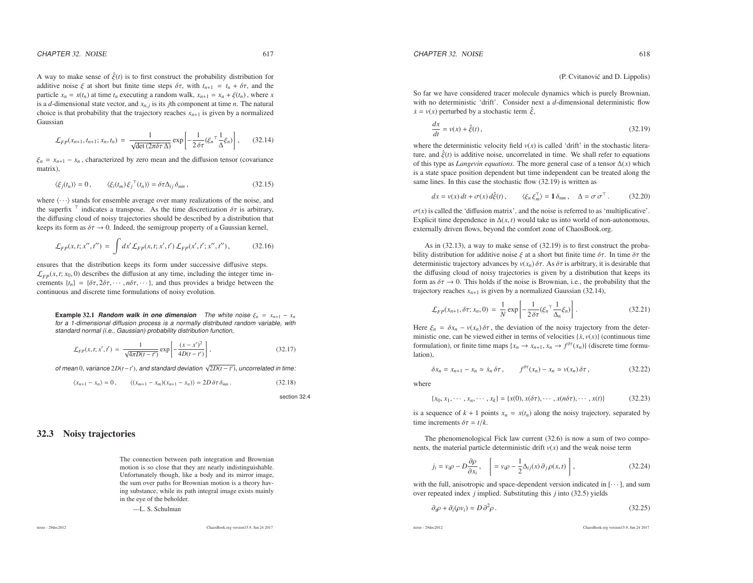(P. Cvitanović and D. Lippolis)

So far we have considered tracer molecule dynamics which is purely Brownian, with no deterministic 'drift'. Consider next <sup>a</sup> *<sup>d</sup>*-dimensional deterministic flow $\dot{x} = v(x)$  perturbed by a stochastic term  $\hat{\xi}$ ,

$$
\frac{dx}{dt} = v(x) + \hat{\xi}(t),\tag{32.19}
$$

where the deterministic velocity field  $v(x)$  is called 'drift' in the stochastic literature, and  $\hat{\xi}(t)$  is additive noise, uncorrelated in time. We shall refer to equations of this type as *Langevin equations*. The more genera<sup>l</sup> case of <sup>a</sup> tensor <sup>∆</sup>(*x*) which is <sup>a</sup> state space position dependent but time independent can be treated along the same lines. In this case the stochastic flow (32.19) is written as

$$
dx = v(x) dt + \sigma(x) d\xi(t), \qquad \langle \xi_n \xi_m^{\top} \rangle = \mathbf{1} \delta_{nm}, \quad \Delta = \sigma \sigma^{\top}.
$$
 (32.20)

 $\sigma(x)$  is called the 'diffusion matrix', and the noise is referred to as 'multiplicative'. Explicit time dependence in  $\Delta(x, t)$  would take us into world of non-autonomous, externally driven flows, beyond the comfort zone of ChaosBook.org.

As in (32.13), <sup>a</sup> way to make sense of (32.19) is to first construct the probability distribution for additive noise  $\xi$  at a short but finite time  $\delta\tau$ . In time  $\delta\tau$  the deterministic trajectory advances by  $v(x_n) \delta \tau$ . As  $\delta \tau$  is arbitrary, it is desirable that the diffusing cloud of noisy trajectories is given by <sup>a</sup> distribution that keeps its form as  $\delta \tau \to 0$ . This holds if the noise is Brownian, i.e., the probability that the trainetery reaches  $x_{\text{rel}}$  is given by a normalized Gaussian (22.14). trajectory reaches  $x_{n+1}$  is given by a normalized Gaussian (32.14),

$$
\mathcal{L}_{FP}(x_{n+1}, \delta \tau; x_n, 0) = \frac{1}{N} \exp\left[-\frac{1}{2\delta \tau} (\xi_n^\top \frac{1}{\Delta_n} \xi_n) \right]. \tag{32.21}
$$

Here  $\xi_n = \delta x_n - v(x_n) \delta \tau$ , the deviation of the noisy trajectory from the deter-<br>ministic one can be viewed either in terms of velocities ( $\ddot{x}$   $v(x)$ ) (continuous time ministic one, can be viewed either in terms of velocities  $\{x, v(x)\}$  (continuous time formulation), or finite time maps  $\{x_n \to x_{n+1}, x_n \to f^{\delta \tau}(x_n)\}\$  (discrete time formulation) lation),

$$
\delta x_n = x_{n+1} - x_n \simeq \dot{x}_n \, \delta \tau \,, \qquad f^{\delta \tau}(x_n) - x_n \simeq \nu(x_n) \, \delta \tau \,, \tag{32.22}
$$

where

 ${x_0, x_1, \dots, x_n, \dots, x_k} = {x(0), x(\delta \tau), \dots, x(n\delta \tau), \dots, x(t)}$  (32.23)

is a sequence of  $k + 1$  points  $x_n = x(t_n)$  along the noisy trajectory, separated by time increments  $\delta \tau = t/k$ .

The phenomenological Fick law current (32.6) is now <sup>a</sup> sum of two components, the material particle deterministic drift *<sup>v</sup>*(*x*) and the weak noise term

$$
j_i = v_i \rho - D \frac{\partial \rho}{\partial x_i}, \quad \left[ = v_i \rho - \frac{1}{2} \Delta_{ij}(x) \partial_j \rho(x, t) \right],
$$
 (32.24)

with the full, anisotropic and space-dependent version indicated in  $[\cdots]$ , and sum over repeated index *j* implied. Substituting this *j* into (32.5) <sup>y</sup>ields

$$
\partial_t \rho + \partial_i (\rho v_i) = D \partial^2 \rho \,. \tag{32.25}
$$

noise - 29dec2012

ChaosBook.org version15.9, Jun <sup>24</sup> <sup>2017</sup>

A way to make sense of  $\hat{\xi}(t)$  is to first construct the probability distribution for additive noise  $\xi$  at short but finite time steps  $\delta \tau$ , with  $t_{n+1} = t_n + \delta \tau$ , and the particle  $x_n = x(t_n)$  at time  $t_n$  executing a random walk,  $x_{n+1} = x_n + \xi(t_n)$ , where *x* is <sup>a</sup> *<sup>d</sup>*-dimensional state vector, and *<sup>x</sup>n*, *<sup>j</sup>* is its *j*th componen<sup>t</sup> at time *<sup>n</sup>*. The natural choice is that probability that the trajectory reaches  $x_{n+1}$  is given by a normalized Gaussian

$$
\mathcal{L}_{FP}(x_{n+1}, t_{n+1}; x_n, t_n) = \frac{1}{\sqrt{\det(2\pi\delta\tau\,\Delta)}} \exp\left[-\frac{1}{2\,\delta\tau}(\xi_n^{-1}\frac{1}{\Delta}\xi_n)\right],\qquad(32.14)
$$

 $\xi_n = x_{n+1} - x_n$ , characterized by zero mean and the diffusion tensor (covariance matrix),

$$
\langle \xi_j(t_n) \rangle = 0, \qquad \langle \xi_i(t_m) \xi_j^\top(t_n) \rangle = \delta \tau \Delta_{ij} \delta_{nm}, \qquad (32.15)
$$

where  $\langle \cdots \rangle$  stands for ensemble average over many realizations of the noise, and the superfix  $\top$  indicates a transpose. As the time discretization  $\delta\tau$  is arbitrary, the diffusing cloud of noisy trajectories should be described by <sup>a</sup> distribution thatkeeps its form as  $\delta \tau \to 0$ . Indeed, the semigroup property of a Gaussian kernel,

$$
\mathcal{L}_{FP}(x,t;x'',t'') = \int dx' \mathcal{L}_{FP}(x,t;x',t') \mathcal{L}_{FP}(x',t';x'',t''), \qquad (32.16)
$$

ensures that the distribution keeps its form under successive diffusive steps.  $\mathcal{L}_{FD}(x, t; x_0, 0)$  describes the diffusion at any time, including the integer time increments  $\{t_n\} = \{\delta \tau, 2\delta \tau, \cdots, n\delta \tau, \cdots\}$ , and thus provides a bridge between the continuous and discrete time formulations of noisy evolution.

**Example** 32.1 **Random walk in one dimension** The white noise  $\xi_n = x_{n+1} - x_n$ for <sup>a</sup> 1-dimensional diffusion process is <sup>a</sup> normally distributed random variable, withstandard normal (i.e., Gaussian) probability distribution function,

$$
\mathcal{L}_{FP}(x, t; x', t') = \frac{1}{\sqrt{4\pi D(t - t')}} \exp\left[-\frac{(x - x')^2}{4D(t - t')}\right],
$$
\n(32.17)

of mean <sup>0</sup>, variance <sup>2</sup>*D*(*<sup>t</sup>*−*t*′), and standard deviation √<sup>2</sup>*D*(*<sup>t</sup>* <sup>−</sup> *<sup>t</sup>*′), uncorrelated in time:

$$
\langle x_{n+1} - x_n \rangle = 0, \qquad \langle (x_{m+1} - x_m)(x_{n+1} - x_n) \rangle = 2D \,\delta \tau \,\delta_{mn} \,. \tag{32.18}
$$

section 32.4

## 32.3 Noisy trajectories

The connection between path integration and Brownian motion is so close that they are nearly indistinguishable. Unfortunately though, like <sup>a</sup> body and its mirror image, the sum over paths for Brownian motion is <sup>a</sup> theory having substance, while its path integral image exists mainlyin the eye of the beholder.

—L. S. Schulman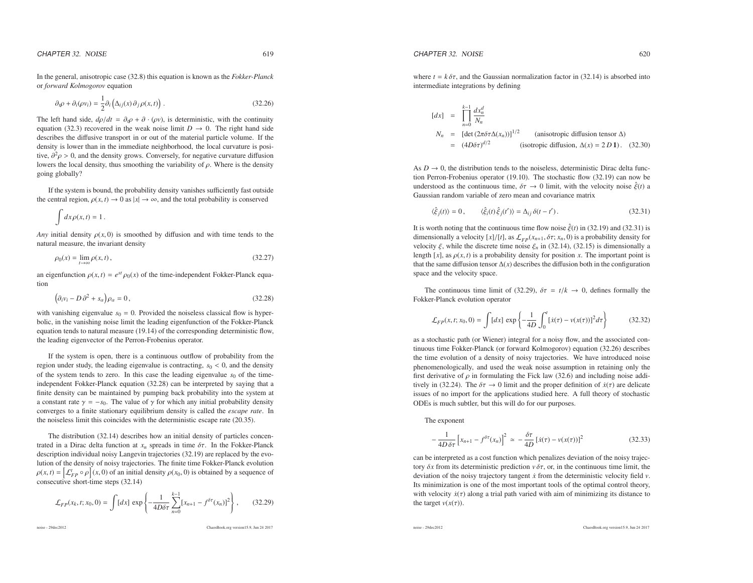In the general, anisotropic case (32.8) this equation is known as the *Fokker-Planck* or *forward Kolmogorov* equation

$$
\partial_i \rho + \partial_i (\rho v_i) = \frac{1}{2} \partial_i \left( \Delta_{ij}(x) \partial_j \rho(x, t) \right).
$$
 (32.26)

The left hand side,  $d\rho/dt = \partial_t \rho + \partial \cdot (\rho v)$ , is deterministic, with the continuity equation (32.3) recovered in the weak noise limit  $D \to 0$ . The right hand side<br>describes the diffusive transport in or out of the material particle volume. If the describes the diffusive transport in or out of the material particle volume. If the density is lower than in the immediate neighborhood, the local curvature is positive,  $\partial^2 \rho > 0$ , and the density grows. Conversely, for negative curvature diffusion lowers the local density thus smoothing the variability of  $\rho$ . Where is the density lowers the local density, thus smoothing the variability of  $\rho$ . Where is the density going globally?

If the system is bound, the probability density vanishes sufficiently fast outsidethe central region,  $\rho(x, t) \to 0$  as  $|x| \to \infty$ , and the total probability is conserved

$$
\int dx \rho(x,t) = 1.
$$

*Any* initial density  $\rho(x, 0)$  is smoothed by diffusion and with time tends to the natural measure, the invariant density

$$
\rho_0(x) = \lim_{t \to \infty} \rho(x, t),\tag{32.27}
$$

an eigenfunction  $\rho(x, t) = e^{st} \rho_0(x)$  of the time-independent Fokker-Planck equation

$$
\left(\partial_i v_i - D \partial^2 + s_\alpha\right) \rho_\alpha = 0\,,\tag{32.28}
$$

with vanishing eigenvalue  $s_0 = 0$ . Provided the noiseless classical flow is hyperbolic, in the vanishing noise limit the leading eigenfunction of the Fokker-Planck equation tends to natural measure (19.14) of the corresponding deterministic flow, the leading eigenvector of the Perron-Frobenius operator.

If the system is open, there is <sup>a</sup> continuous outflow of probability from the region under study, the leading eigenvalue is contracting, *<sup>s</sup>*<sup>0</sup> <sup>&</sup>lt; 0, and the density of the system tends to zero. In this case the leading eigenvalue  $s_0$  of the timeindependent Fokker-Planck equation (32.28) can be interpreted by saying that <sup>a</sup> finite density can be maintained by pumping back probability into the system at a constant rate  $\gamma = -s_0$ . The value of  $\gamma$  for which any initial probability density converges to <sup>a</sup> finite stationary equilibrium density is called the *escape rate*. Inthe noiseless limit this coincides with the deterministic escape rate (20.35).

The distribution (32.14) describes how an initial density of particles concentrated in a Dirac delta function at  $x_n$  spreads in time  $\delta \tau$ . In the Fokker-Planck description individual noisy Langevin trajectories (32.19) are replaced by the evolution of the density of noisy trajectories. The finite time Fokker-Planck evolution $\rho(x, t) = \left[ \mathcal{L}_{FP}^t \circ \rho \right] (x, 0)$  of an initial density  $\rho(x_0, 0)$  is obtained by a sequence of consecutive short-time steps (32.14)

$$
\mathcal{L}_{FP}(x_k, t; x_0, 0) = \int [dx] \, \exp\left\{-\frac{1}{4D\delta\tau} \sum_{n=0}^{k-1} [x_{n+1} - f^{\delta\tau}(x_n)]^2\right\},\qquad(32.29)
$$

noise - 29dec2012

ChaosBook.org version15.9, Jun <sup>24</sup> <sup>2017</sup>

where  $t = k \delta \tau$ , and the Gaussian normalization factor in (32.14) is absorbed into intermediate integrations by defining

$$
[dx] = \prod_{n=0}^{k-1} \frac{dx_n^d}{N_n}
$$
  
\n
$$
N_n = [\det (2\pi \delta \tau \Delta(x_n))]^{1/2}
$$
 (anisotropic diffusion tensor  $\Delta$ )  
\n
$$
= (4D\delta \tau)^{d/2}
$$
 (isotropic diffusion,  $\Delta(x) = 2 D \mathbf{1}$ ). (32.30)

As  $D \to 0$ , the distribution tends to the noiseless, deterministic Dirac delta func-<br>tion Perron Frobenius operator (10.10). The stochastic flow (32.10) can now be tion Perron-Frobenius operator (19.10). The stochastic flow (32.19) can now beunderstood as the continuous time,  $\delta \tau \to 0$  limit, with the velocity noise  $\hat{\xi}(t)$  a<br>Gaussian random variable of zero mean and covariance matrix Gaussian random variable of zero mean and covariance matrix

$$
\langle \hat{\xi}_j(t) \rangle = 0, \qquad \langle \hat{\xi}_i(t) \hat{\xi}_j(t') \rangle = \Delta_{ij} \, \delta(t - t'). \tag{32.31}
$$

It is worth noting that the continuous time flow noise  $\hat{\xi}(t)$  in (32.19) and (32.31) is dimensionally a velocity  $[x]/[t]$ , as  $\mathcal{L}_{FP}(x_{n+1}, \delta \tau; x_n, 0)$  is a probability density for velocity  $\xi$ , while the discrete time noise  $\xi$ , in (32.14) (32.15) is dimensionally a velocity  $\xi$ , while the discrete time noise  $\xi_n$  in (32.14), (32.15) is dimensionally a length [ $x$ ], as  $\rho(x, t)$  is a probability density for position  $x$ . The important point is that the same diffusion tensor∆(*x*) describes the diffusion both in the configurationspace and the velocity space.

The continuous time limit of (32.29),  $\delta \tau = t/k \rightarrow 0$ , defines formally the lear Planck evolution operator Fokker-Planck evolution operator

$$
\mathcal{L}_{FP}(x, t; x_0, 0) = \int [dx] \, \exp\left\{-\frac{1}{4D} \int_0^t [x(\tau) - v(x(\tau))]^2 d\tau\right\} \tag{32.32}
$$

as <sup>a</sup> stochastic path (or Wiener) integral for <sup>a</sup> noisy flow, and the associated continuous time Fokker-Planck (or forward Kolmogorov) equation (32.26) describes the time evolution of <sup>a</sup> density of noisy trajectories. We have introduced noise phenomenologically, and used the weak noise assumption in retaining only thefirst derivative of  $\rho$  in formulating the Fick law (32.6) and including noise additively in (32.24). The  $\delta \tau \to 0$  limit and the proper definition of  $\dot{x}(\tau)$  are delicate issues of no import for the applications studied here. A full theory of stochasticODEs is much subtler, but this will do for our purposes.

The exponen<sup>t</sup>

$$
-\frac{1}{4D\,\delta\tau}\left[x_{n+1}-f^{\delta\tau}(x_n)\right]^2 \simeq -\frac{\delta\tau}{4D}\left[\dot{x}(\tau)-v(x(\tau))\right]^2\tag{32.33}
$$

can be interpreted as <sup>a</sup> cost function which penalizes deviation of the noisy trajectory  $\delta x$  from its deterministic prediction  $v \, \delta \tau$ , or, in the continuous time limit, the deviation of the noisy trajectory tangent ˙*<sup>x</sup>* from the deterministic velocity field *<sup>v</sup>*. Its minimization is one of the most important tools of the optimal control theory, with velocity  $\dot{x}(\tau)$  along a trial path varied with aim of minimizing its distance to the target  $v(x(\tau))$ .

noise - 29dec2012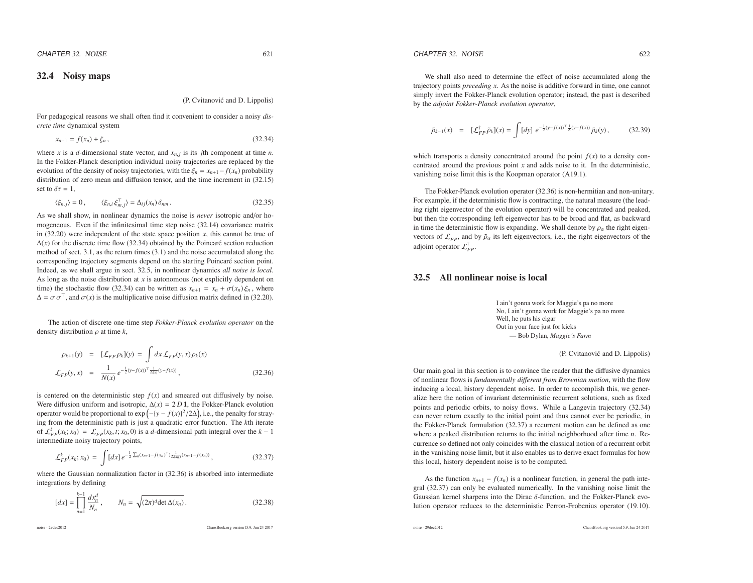## 32.4 Noisy maps

### (P. Cvitanović and D. Lippolis)

For pedagogical reasons we shall often find it convenient to consider <sup>a</sup> noisy *discrete time* dynamical system

$$
x_{n+1} = f(x_n) + \xi_n, \tag{32.34}
$$

where *x* is a *d*-dimensional state vector, and  $x_{n,j}$  is its *j*th component at time *n*. In the Fokker-Planck description individual noisy trajectories are replaced by theevolution of the density of noisy trajectories, with the  $\xi_n = x_{n+1} - f(x_n)$  probability distribution of zero mean and diffusion tensor, and the time increment in (32.15)set to  $\delta \tau = 1$ ,

$$
\langle \xi_{n,j} \rangle = 0, \qquad \langle \xi_{n,i} \xi_{m,j}^{\top} \rangle = \Delta_{ij}(x_n) \delta_{nm} \,. \tag{32.35}
$$

As we shall show, in nonlinear dynamics the noise is *never* isotropic and/or homogeneous. Even if the infinitesimal time step noise (32.14) covariance matrixin  $(32.20)$  were independent of the state space position *x*, this cannot be true of  $\Delta(x)$  for the discrete time flow (32.34) obtained by the Poincaré section reduction method of sect. 3.1, as the return times (3.1) and the noise accumulated along thecorresponding trajectory segments depend on the starting Poincaré section point. Indeed, as we shall argue in sect. 32.5, in nonlinear dynamics *all noise is local*. As long as the noise distribution at *<sup>x</sup>* is autonomous (not explicitly dependent ontime) the stochastic flow (32.34) can be written as  $x_{n+1} = x_n + \sigma(x_n) \xi_n$ , where  $\Delta = \sigma \sigma^{\top}$ , and  $\sigma(x)$  is the multiplicative noise diffusion matrix defined in (32.20).

The action of discrete one-time step *Fokker-Planck evolution operator* on the density distribution <sup>ρ</sup> at time *<sup>k</sup>*,

$$
\rho_{k+1}(y) = [L_{FP} \rho_k](y) = \int dx \, L_{FP}(y, x) \rho_k(x)
$$
  

$$
\mathcal{L}_{FP}(y, x) = \frac{1}{N(x)} e^{-\frac{1}{2}(y - f(x))^{\top} \frac{1}{\Delta(x)}(y - f(x))},
$$
 (32.36)

is centered on the deterministic step  $f(x)$  and smeared out diffusively by noise. Were diffusion uniform and isotropic,  $\Delta(x) = 2 D \mathbf{1}$ , the Fokker-Planck evolution operator would be proportional to  $\exp(-{y - f(x)}^2/2\Delta)$ , i.e., the penalty for stray- ing from the deterministic path is just <sup>a</sup> quadratic error function. The *<sup>k</sup>*th iterate of  $\mathcal{L}_{FP}^k(x_k; x_0) = \mathcal{L}_{FP}(x_k, t; x_0, 0)$  is a *d*-dimensional path integral over the *k* − 1 intermediate noisy trajectory points,

$$
\mathcal{L}_{FP}^{k}(x_k; x_0) = \int [dx] \, e^{-\frac{1}{2} \sum_n (x_{n+1} - f(x_n)^T) \frac{1}{\Delta(x_n)} (x_{n+1} - f(x_n))}, \tag{32.37}
$$

where the Gaussian normalization factor in  $(32.36)$  is absorbed into intermediate integrations by defining

$$
[dx] = \prod_{n=1}^{k-1} \frac{dx_n^d}{N_n}, \qquad N_n = \sqrt{(2\pi)^d \det \Delta(x_n)}.
$$
 (32.38)

noise - 29dec2012

ChaosBook.org version15.9, Jun <sup>24</sup> <sup>2017</sup>

$$
\tilde{\rho}_{k-1}(x) = [\mathcal{L}_{FP}^{\dagger} \tilde{\rho}_k](x) = \int [dy] e^{-\frac{1}{2}(y-f(x))^{\top} \frac{1}{\Delta}(y-f(x))} \tilde{\rho}_k(y), \quad (32.39)
$$

which transports a density concentrated around the point  $f(x)$  to a density concentrated around the previous point *<sup>x</sup>* and adds noise to it. In the deterministic, vanishing noise limit this is the Koopman operator (A19.1).

The Fokker-Planck evolution operator (32.36) is non-hermitian and non-unitary. For example, if the deterministic flow is contracting, the natural measure (the leading right eigenvector of the evolution operator) will be concentrated and peaked, but then the corresponding left eigenvector has to be broad and flat, as backwardin time the deterministic flow is expanding. We shall denote by  $\rho_{\alpha}$  the right eigenvectors of  $\mathcal{L}_{FP}$ , and by  $\tilde{\rho}_{\alpha}$  its left eigenvectors, i.e., the right eigenvectors of the adjoint operator  $\mathcal{L}_{FP}^{\dagger}$ .

## 32.5 All nonlinear noise is local

I ain't gonna work for Maggie's pa no more No, I ain't gonna work for Maggie's pa no moreWell, he puts his cigar Out in your face just for kicks— Bob Dylan, *Maggie's Farm*

(P. Cvitanović and D. Lippolis)

Our main goal in this section is to convince the reader that the diffusive dynamics of nonlinear flows is *fundamentally di*ff*erent from Brownian motion*, with the flow inducing <sup>a</sup> local, history dependent noise. In order to accomplish this, we generalize here the notion of invariant deterministic recurrent solutions, such as fixed points and periodic orbits, to noisy flows. While <sup>a</sup> Langevin trajectory (32.34) can never return exactly to the initial point and thus cannot ever be periodic, in the Fokker-Planck formulation (32.37) <sup>a</sup> recurrent motion can be defined as one where <sup>a</sup> peaked distribution returns to the initial neighborhood after time *<sup>n</sup>*. Recurrence so defined not only coincides with the classical notion of <sup>a</sup> recurrent orbit in the vanishing noise limit, but it also enables us to derive exact formulas for howthis local, history dependent noise is to be computed.

As the function  $x_{n+1} - f(x_n)$  is a nonlinear function, in general the path integral (32.37) can only be evaluated numerically. In the vanishing noise limit theGaussian kernel sharpens into the Dirac  $\delta$ -function, and the Fokker-Planck evolution operator reduces to the deterministic Perron-Frobenius operator (19.10).

noise - 29dec2012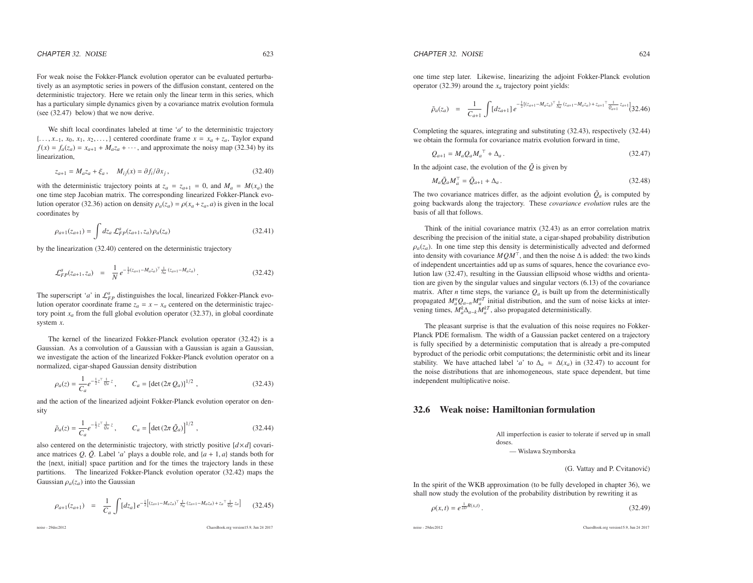For weak noise the Fokker-Planck evolution operator can be evaluated perturbatively as an asymptotic series in powers of the diffusion constant, centered on the deterministic trajectory. Here we retain only the linear term in this series, which has <sup>a</sup> particulary simple dynamics given by <sup>a</sup> covariance matrix evolution formula(see (32.47) below) that we now derive.

We shift local coordinates labeled at time '*<sup>a</sup>*′ to the deterministic trajectory{..., *x*<sub>-1</sub>, *x*<sub>0</sub>, *x*<sub>1</sub>, *x*<sub>2</sub>,...,} centered coordinate frame  $x = x_a + z_a$ , Taylor expand  $f(x) = f(x) = x_a + M z_0 + y_a$  and approximate the noisy map (32.34) by its  $f(x) = f_a(z_a) = x_{a+1} + M_a z_a + \cdots$ , and approximate the noisy map (32.34) by its linearization,

$$
z_{a+1} = M_a z_a + \xi_a, \quad M_{ij}(x) = \partial f_i / \partial x_j,
$$
\n(32.40)

with the deterministic trajectory points at  $z_a = z_{a+1} = 0$ , and  $M_a = M(x_a)$  the one time step Jacobian matrix. The corresponding linearized Fokker-Planck evolution operator (32.36) action on density  $\rho_a(z_a) = \rho(x_a + z_a, a)$  is given in the local coordinates by

$$
\rho_{a+1}(z_{a+1}) = \int dz_a \, \mathcal{L}_{FP}^a(z_{a+1}, z_a) \rho_a(z_a) \tag{32.41}
$$

by the linearization (32.40) centered on the deterministic trajectory

$$
\mathcal{L}_{FP}^{a}(z_{a+1}, z_a) = \frac{1}{N} e^{-\frac{1}{2}(z_{a+1} - M_a z_a)^T} \frac{1}{\Delta_a}(z_{a+1} - M_a z_a) \tag{32.42}
$$

The superscript '*a*' in  $\mathcal{L}_{FP}^a$  distinguishes the local, linearized Fokker-Planck evolution operator coordinate frame  $z_a = x - x_a$  centered on the deterministic trajectory point  $x_a$  from the full global evolution operator  $(32.37)$ , in global coordinate system *<sup>x</sup>*.

The kernel of the linearized Fokker-Planck evolution operator (32.42) is <sup>a</sup> Gaussian. As <sup>a</sup> convolution of <sup>a</sup> Gaussian with <sup>a</sup> Gaussian is again <sup>a</sup> Gaussian, we investigate the action of the linearized Fokker-Planck evolution operator on <sup>a</sup>normalized, cigar-shaped Gaussian density distribution

$$
\rho_a(z) = \frac{1}{C_a} e^{-\frac{1}{2}z^{\top} \frac{1}{Q_a} z}, \qquad C_a = [\det(2\pi \, Q_a)]^{1/2}, \qquad (32.43)
$$

and the action of the linearized adjoint Fokker-Planck evolution operator on density

$$
\tilde{\rho}_a(z) = \frac{1}{C_a} e^{-\frac{1}{2}z^{\top} \frac{1}{Q_a} z}, \qquad C_a = \left[ \det(2\pi \, \tilde{Q}_a) \right]^{1/2}, \tag{32.44}
$$

also centered on the deterministic trajectory, with strictly positive  $\left[ d \times d \right]$  covariance matrices  $Q$ ,  $\tilde{Q}$ . Label '*a*' plays a double role, and  $\{a + 1, a\}$  stands both for the {next, initial} space partition and for the times the trajectory lands in these partitions. The linearized Fokker-Planck evolution operator (32.42) maps theGaussian  $\rho_a(z_a)$  into the Gaussian

$$
\rho_{a+1}(z_{a+1}) = \frac{1}{C_a} \int [dz_a] \, e^{-\frac{1}{2} \left[ (z_{a+1} - M_a z_a)^{\top} \frac{1}{\Delta_a} (z_{a+1} - M_a z_a) + z_a^{\top} \frac{1}{Q_a} z_a \right]} \tag{32.45}
$$

noise - 29dec2012

L

ChaosBook.org version15.9, Jun <sup>24</sup> <sup>2017</sup>

one time step later. Likewise, linearizing the adjoint Fokker-Planck evolutionoperator (32.39) around the *<sup>x</sup><sup>a</sup>* trajectory point <sup>y</sup>ields:

$$
\tilde{\rho}_a(z_a) = \frac{1}{C_{a+1}} \int [dz_{a+1}] e^{-\frac{1}{2}[(z_{a+1} - M_a z_a)^{-1} \frac{1}{\lambda_a} (z_{a+1} - M_a z_a) + z_{a+1}^{-1} \frac{1}{\tilde{Q}_{a+1}} z_{a+1}]} (32.46)
$$

Completing the squares, integrating and substituting (32.43), respectively (32.44)we obtain the formula for covariance matrix evolution forward in time,

$$
Q_{a+1} = M_a Q_a M_a^{\top} + \Delta_a \,. \tag{32.47}
$$

In the adjoint case, the evolution of the  $\tilde{Q}$  is given by

$$
M_a \tilde{Q}_a M_a^{\top} = \tilde{Q}_{a+1} + \Delta_a \,. \tag{32.48}
$$

The two covariance matrices differ, as the adjoint evolution  $\tilde{Q}_a$  is computed by going backwards along the trajectory. These *covariance evolution* rules are the basis of all that follows.

Think of the initial covariance matrix (32.43) as an error correlation matrix describing the precision of the initial state, <sup>a</sup> cigar-shaped probability distribution $\rho_a(z_a)$ . In one time step this density is deterministically advected and deformed into density with covariance  $MQM^{\top}$ , and then the noise  $\Delta$  is added: the two kinds of independent uncertainties add up as sums of squares, hence the covariance evolution law (32.47), resulting in the Gaussian ellipsoid whose widths and orientation are given by the singular values and singular vectors (6.13) of the covariancematrix. After *n* time steps, the variance  $Q_a$  is built up from the deterministically propagated  $M_a^n Q_{a-n} M_a^{nT}$  initial distribution, and the sum of noise kicks at intervening times,  $M_a^k \Delta_{a-k} M_a^{kT}$ , also propagated deterministically.

The pleasant surprise is that the evaluation of this noise requires no Fokker-Planck PDE formalism. The width of <sup>a</sup> Gaussian packet centered on <sup>a</sup> trajectory is fully specified by <sup>a</sup> deterministic computation that is already <sup>a</sup> pre-computed byproduct of the periodic orbit computations; the deterministic orbit and its linearstability. We have attached label '*a*' to  $\Delta_a = \Delta(x_a)$  in (32.47) to account for the noise distributions that are inhomogeneous state space dependent, but time the noise distributions that are inhomogeneous, state space dependent, but timeindependent multiplicative noise.

## 32.6 Weak noise: Hamiltonian formulation

All imperfection is easier to tolerate if served up in smalldoses.

— Wislawa Szymborska

(G. Vattay and P. Cvitanović)

In the spirit of the WKB approximation (to be fully developed in chapter 36), we shall now study the evolution of the probability distribution by rewriting it as

$$
\rho(x,t) = e^{\frac{1}{2D}R(x,t)}.
$$
\n(32.49)

noise - 29dec2012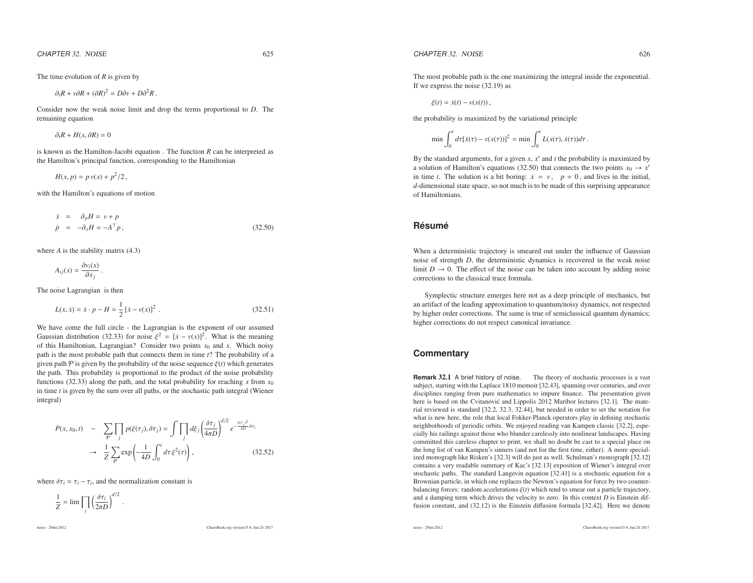CHAPTER 32. NOISE  $R$  32. NOISE 625

The time evolution of*R* is <sup>g</sup>iven by

 $\partial_t R + v \partial R + (\partial R)^2 = D \partial v + D \partial^2 R$ .

Consider now the weak noise limit and drop the terms proportional to*<sup>D</sup>*. Theremaining equation

$$
\partial_t R + H(x, \partial R) = 0
$$

is known as the Hamilton-Jacobi equation . The function*R* can be interpreted as the Hamilton's principal function, corresponding to the Hamiltonian

 $H(x, p) = p v(x) + p^2/2$ ,

with the Hamilton's equations of motion

$$
\dot{x} = \partial_p H = v + p
$$
  
\n
$$
\dot{p} = -\partial_x H = -A^{\top} p,
$$
\n(32.50)

where*A* is the stability matrix (4.3)

$$
A_{ij}(x) = \frac{\partial v_i(x)}{\partial x_j}.
$$

The noise Lagrangian is then

$$
L(x, \dot{x}) = \dot{x} \cdot p - H = \frac{1}{2} [\dot{x} - v(x)]^2.
$$
 (32.51)

We have come the full circle - the Lagrangian is the exponen<sup>t</sup> of our assumedGaussian distribution (32.33) for noise  $\xi^2 = [x - v(x)]^2$ . What is the meaning of this Hamiltonian, Lagrangian? Consider two points *<sup>x</sup>*<sup>0</sup> and *<sup>x</sup>*. Which noisy path is the most probable path that connects them in time *<sup>t</sup>*? The probability of <sup>a</sup> given path  $P$  is given by the probability of the noise sequence  $\xi(t)$  which generates the path. This probability is proportional to the product of the noise probabilityfunctions (32.33) along the path, and the total probability for reaching  $x$  from  $x$ functions (32.33) along the path, and the total probability for reaching x from  $x_0$  in time t is given by the sum over all paths, or the stochastic path integral (Wiener integral)

$$
P(x, x_0, t) \sim \sum_{\mathcal{P}} \prod_j p(\xi(\tau_j), \delta \tau_j) = \int \prod_j d\xi_j \left(\frac{\delta \tau_j}{4\pi D}\right)^{d/2} e^{-\frac{\xi(\tau_j)^2}{4D} \delta \tau_i} \rightarrow \frac{1}{Z} \sum_{\mathcal{P}} \exp\left(-\frac{1}{4D} \int_0^t d\tau \xi^2(\tau)\right),
$$
 (32.52)

where  $\delta \tau_i = \tau_i - \tau_i$ , and the normalization constant is

$$
\frac{1}{Z} = \lim \prod_i \left(\frac{\delta \tau_i}{2\pi D}\right)^{d/2}.
$$

noise - 29dec2012

The most probable path is the one maximizing the integral inside the exponential. If we express the noise (32.19) as

 $\xi(t) = \dot{x}(t) - v(x(t)),$ 

the probability is maximized by the variational principle

$$
\min \int_0^t d\tau [\dot{x}(\tau) - v(x(\tau))]^2 = \min \int_0^t L(x(\tau), \dot{x}(\tau)) d\tau.
$$

By the standard arguments, for <sup>a</sup> given *<sup>x</sup>*, *<sup>x</sup>* ′ and *<sup>t</sup>* the probability is maximized by a solution of Hamilton's equations (32.50) that connects the two points  $x_0 \rightarrow x'$ a solution of Hamilton's equations (32.50) that connects the two points  $x_0 \to x$  in time *t*. The solution is a bit boring:  $\dot{x} = v$ ,  $p = 0$ , and lives in the initial, *d*-dimensional state space, so not much is to be made of this surprising appearanceof Hamiltonians.

## **Resum ´ e´**

When <sup>a</sup> deterministic trajectory is smeared out under the influence of Gaussian noise of strength*<sup>D</sup>*, the deterministic dynamics is recovered in the weak noiselimit  $D \to 0$ . The effect of the noise can be taken into account by adding noise corrections to the classical trace formula corrections to the classical trace formula.

Symplectic structure emerges here not as <sup>a</sup> deep principle of mechanics, but an artifact of the leading approximation to quantum/noisy dynamics, not respected by higher order corrections. The same is true of semiclassical quantum dynamics;higher corrections do not respec<sup>t</sup> canonical invariance.

## **Commentary**

**Remark** 32.1 <sup>A</sup> brief history of noise. The theory of stochastic processes is <sup>a</sup> vast subject, starting with the Laplace 1810 memoir [32.43], spanning over centuries, and over disciplines ranging from pure mathematics to impure finance. The presentation givenhere is based on the Cvitanović and Lippolis 2012 Maribor lectures [32.1]. The material reviewed is standard [32.2, 32.3, 32.44], but needed in order to set the notation for what is new here, the role that local Fokker-Planck operators play in defining stochastic neighborhoods of periodic orbits. We enjoyed reading van Kampen classic [32.2], especially his railings against those who blunder carelessly into nonlinear landscapes. Having committed this careless chapter to print, we shall no doubt be cast to <sup>a</sup> special place on the long list of van Kampen's sinners (and not for the first time, either). A more specialized monograph like Risken's [32.3] will do just as well. Schulman's monograph [32.12] contains <sup>a</sup> very readable summary of Kac's [32.13] exposition of Wiener's integral over stochastic paths. The standard Langevin equation [32.41] is <sup>a</sup> stochastic equation for <sup>a</sup> Brownian particle, in which one replaces the Newton's equation for force by two counterbalancing forces: random accelerations  $\xi(t)$  which tend to smear out a particle trajectory, and a damping term which drives the velocity to zero. In this context  $D$  is Einstein diffusion constant, and (32.12) is the Einstein diffusion formula [32.42]. Here we denote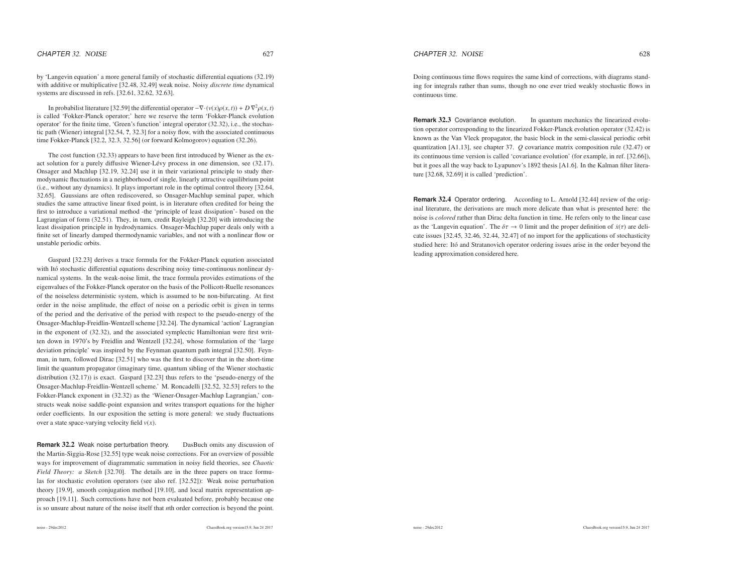by 'Langevin equation' <sup>a</sup> more general family of stochastic differential equations (32.19) with additive or multiplicative [32.48, 32.49] weak noise. Noisy *discrete time* dynamical systems are discussed in refs. [32.61, 32.62, 32.63].

In probabilist literature [32.59] the differential operator  $-\nabla \cdot (v(x)\rho(x,t)) + D \nabla^2 \rho(x,t)$ is called 'Fokker-Planck operator;' here we reserve the term 'Fokker-Planck evolution operator' for the finite time, 'Green's function' integral operator (32.32), i.e., the stochastic path (Wiener) integral [32.54, ?, 32.3] for <sup>a</sup> noisy flow, with the associated continuoustime Fokker-Planck [32.2, 32.3, 32.56] (or forward Kolmogorov) equation (32.26).

The cost function (32.33) appears to have been first introduced by Wiener as the exact solution for a purely diffusive Wiener-Lévy process in one dimension, see (32.17). Onsager and Machlup [32.19, 32.24] use it in their variational principle to study thermodynamic fluctuations in <sup>a</sup> neighborhood of single, linearly attractive equilibrium point (i.e., without any dynamics). It plays important role in the optimal control theory [32.64, 32.65]. Gaussians are often rediscovered, so Onsager-Machlup seminal paper, which studies the same attractive linear fixed point, is in literature often credited for being the first to introduce <sup>a</sup> variational method -the 'principle of least dissipation'- based on the Lagrangian of form (32.51). They, in turn, credit Rayleigh [32.20] with introducing the least dissipation principle in hydrodynamics. Onsager-Machlup paper deals only with <sup>a</sup> finite set of linearly damped thermodynamic variables, and not with <sup>a</sup> nonlinear flow orunstable periodic orbits.

Gaspard [32.23] derives <sup>a</sup> trace formula for the Fokker-Planck equation associatedwith Itó stochastic differential equations describing noisy time-continuous nonlinear dynamical systems. In the weak-noise limit, the trace formula provides estimations of the eigenvalues of the Fokker-Planck operator on the basis of the Pollicott-Ruelle resonances of the noiseless deterministic system, which is assumed to be non-bifurcating. At first order in the noise amplitude, the <sup>e</sup>ffect of noise on <sup>a</sup> periodic orbit is given in terms of the period and the derivative of the period with respec<sup>t</sup> to the pseudo-energy of the Onsager-Machlup-Freidlin-Wentzell scheme [32.24]. The dynamical 'action' Lagrangian in the exponen<sup>t</sup> of (32.32), and the associated symplectic Hamiltonian were first written down in 1970's by Freidlin and Wentzell [32.24], whose formulation of the 'large deviation principle' was inspired by the Feynman quantum path integral [32.50]. Feynman, in turn, followed Dirac [32.51] who was the first to discover that in the short-time limit the quantum propagator (imaginary time, quantum sibling of the Wiener stochastic distribution (32.17)) is exact. Gaspard [32.23] thus refers to the 'pseudo-energy of the Onsager-Machlup-Freidlin-Wentzell scheme.' M. Roncadelli [32.52, 32.53] refers to the Fokker-Planck exponen<sup>t</sup> in (32.32) as the 'Wiener-Onsager-Machlup Lagrangian,' constructs weak noise saddle-point expansion and writes transport equations for the higher order coefficients. In our exposition the setting is more general: we study fluctuationsover <sup>a</sup> state space-varying velocity field *<sup>v</sup>*(*x*).

**Remark** 32.2 Weak noise perturbation theory. DasBuch omits any discussion of the Martin-Siggia-Rose [32.55] type weak noise corrections. For an overview of possible ways for improvement of diagrammatic summation in noisy field theories, see *Chaotic Field Theory: <sup>a</sup> Sketch* [32.70]. The details are in the three papers on trace formulas for stochastic evolution operators (see also ref. [32.52]): Weak noise perturbation theory [19.9], smooth conjugation method [19.10], and local matrix representation approach [19.11]. Such corrections have not been evaluated before, probably because oneis so unsure about nature of the noise itself that *<sup>n</sup>*th order correction is beyond the point.

Doing continuous time flows requires the same kind of corrections, with diagrams standing for integrals rather than sums, though no one ever tried weakly stochastic flows incontinuous time.

**Remark** 32.3In quantum mechanics the linearized evolution operator corresponding to the linearized Fokker-Planck evolution operator (32.42) is known as the Van Vleck propagator, the basic block in the semi-classical periodic orbitquantization [A1.13], see chapter 37. *Q* covariance matrix composition rule (32.47) or its continuous time version is called 'covariance evolution' (for example, in ref. [32.66]), but it goes all the way back to Lyapunov's 1892 thesis [A1.6]. In the Kalman filter literature [32.68, 32.69] it is called 'prediction'.

**Remark** 32.4 Operator ordering. According to L. Arnold [32.44] review of the original literature, the derivations are much more delicate than what is presented here: the noise is *colored* rather than Dirac delta function in time. He refers only to the linear case as the 'Langevin equation'. The  $\delta \tau \to 0$  limit and the proper definition of  $\dot{x}(\tau)$  are deli-<br>antes in the 20.45, 20.46, 20.44, 20.47) of an integration the analizations of starketizing cate issues [32.45, 32.46, 32.44, 32.47] of no import for the applications of stochasticitystudied here: Itó and Stratanovich operator ordering issues arise in the order beyond the leading approximation considered here.

noise - 29dec2012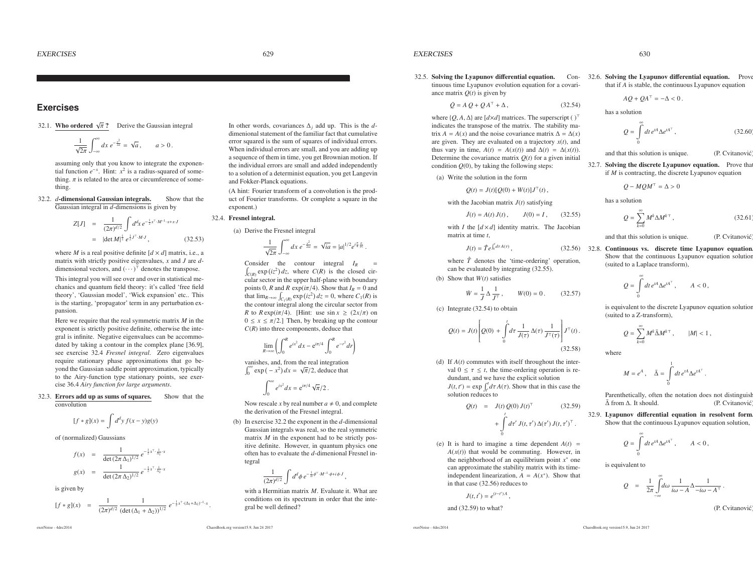$\mathcal{S}$  629

## **Exercises**

32.1. **Who ordered** 
$$
\sqrt{\pi}
$$
? Derive the Gaussian integral

$$
\frac{1}{\sqrt{2\pi}}\int_{-\infty}^{\infty}dx\,e^{-\frac{x^2}{2a}}=\sqrt{a}\,,\qquad a>0\,.
$$

assuming only that you know to integrate the exponential function  $e^{-x}$ . Hint:  $x^2$  is a radius-squared of something.  $\pi$  is related to the area or circumference of something.

32.2. *d*-dimensional Gaussian integrals. Show that theGaussian integral in *<sup>d</sup>*-dimensions is <sup>g</sup>iven by

$$
Z[J] = \frac{1}{(2\pi)^{d/2}} \int d^d x \, e^{-\frac{1}{2}x^T \cdot M^{-1} \cdot x + x \cdot J}
$$
  
=  $|\det M|^{\frac{1}{2}} e^{\frac{1}{2} J^T \cdot M \cdot J},$  (32.53)

where *M* is a real positive definite  $[d \times d]$  matrix, i.e., a matrix with strictly positive eigenvalues, *<sup>x</sup>* and *<sup>J</sup>* are *<sup>d</sup>* dimensional vectors, and  $(\cdots)^{\top}$  denotes the transpose. This integral you will see over and over in statistical mechanics and quantum field theory: it's called 'free field theory', 'Gaussian model', 'Wick expansion' etc.. This is the starting, 'propagator' term in any perturbation expansion.

Here we require that the real symmetric matrix*M* in the exponen<sup>t</sup> is strictly positive definite, otherwise the integral is infinite. Negative eigenvalues can be accommodated by taking <sup>a</sup> contour in the complex plane [36.9], see exercise 32.4 *Fresnel integral*. Zero eigenvalues require stationary phase approximations that go beyond the Gaussian saddle point approximation, typically to the Airy-function type stationary points, see exercise 36.4 *Airy function for large arguments*.

32.3. Errors add up as sums of squares. Show that theconvolution

$$
[f * g](x) = \int d^d y f(x - y)g(y)
$$

of (normalized) Gaussians

$$
f(x) = \frac{1}{\det (2\pi \Delta_1)^{1/2}} e^{-\frac{1}{2}x^T \cdot \frac{1}{\Delta_1} \cdot x}
$$
  

$$
g(x) = \frac{1}{\det (2\pi \Delta_2)^{1/2}} e^{-\frac{1}{2}x^T \cdot \frac{1}{\Delta_2} \cdot x}
$$

is given by

$$
[f * g](x) = \frac{1}{(2\pi)^{d/2}} \frac{1}{(\det(\Delta_1 + \Delta_2))^{1/2}} e^{-\frac{1}{2}x^\top (\Delta_1 + \Delta_2)^{-1} \cdot x}.
$$

exerNoise - 4dec2014

In other words, covariances <sup>∆</sup>*<sup>j</sup>* add up. This is the *<sup>d</sup>* dimenional statement of the familiar fact that cumulative error squared is the sum of squares of individual errors. When individual errors are small, and you are adding up <sup>a</sup> sequence of them in time, you ge<sup>t</sup> Brownian motion. If the individual errors are small and added independently to <sup>a</sup> solution of <sup>a</sup> determinist equation, you ge<sup>t</sup> Langevinand Fokker-Planck equations.

(A hint: Fourier transform of <sup>a</sup> convolution is the product of Fourier transforms. Or complete <sup>a</sup> square in theexponent.)

#### 32.4. Fresnel integral.

(a) Derive the Fresnel integral

$$
\frac{1}{\sqrt{2\pi}}\int_{-\infty}^{\infty}dx\ e^{-\frac{x^2}{2ia}}=\sqrt{ia}=|a|^{1/2}e^{i\frac{\pi}{4}\frac{a}{|a|}}.
$$

Consider the contour integral  $I_R$  =  $\int_{C(R)} \exp(iz^2) dz$ , where  $C(R)$  is the closed circular sector in the upper half-plane with boundary points 0, *R* and *R* exp( $i\pi/4$ ). Show that  $I_R = 0$  and that  $\lim_{R \to \infty} \int_{C_1(R)} \exp(iz^2) dz = 0$ , where  $C_1(R)$  is the contour integral along the circular sector from*R* to  $R \exp(i\pi/4)$ . [Hint: use  $\sin x \ge (2x/\pi)$  on  $0 \le x \le \pi/2$ .] Then, by breaking up the contour *C*(*R*) into three components, deduce that

$$
\lim_{R \to \infty} \left( \int_0^R e^{ix^2} dx - e^{i\pi/4} \int_0^R e^{-r^2} dr \right)
$$

!

vanishes, and, from the real integration $\int_0^\infty \exp(-x^2) dx = \sqrt{\pi}/2$ , deduce that

$$
\int_0^\infty e^{ix^2} dx = e^{i\pi/4} \sqrt{\pi/2}.
$$

Now rescale *x* by real number  $a \neq 0$ , and complete the derivation of the Fresnel integral.

(b) In exercise 32.2 the exponen<sup>t</sup> in the *<sup>d</sup>*-dimensional Gaussian integrals was real, so the real symmetricmatrix  $M$  in the exponent had to be strictly pos itive definite. However, in quantum physics one often has to evaluate the *<sup>d</sup>*-dimenional Fresnel integral

$$
\frac{1}{(2\pi)^{d/2}}\int d^d\phi \, e^{-\frac{1}{2i}\phi^\top \cdot M^{-1}\cdot \phi + i\phi \cdot J},
$$

with <sup>a</sup> Hermitian matrix*<sup>M</sup>*. Evaluate it. What are conditions on its spectrum in order that the integral be well defined?

**EXERCISES**  $\mathbf{S}$  630

32.5. Solving the Lyapunov differential equation. Con-32.6. Solving the Lyapunov differential equation. Prove tinuous time Lyapunov evolution equation for <sup>a</sup> covariance matrix *Q*(*t*) is <sup>g</sup>iven by

 $\dot{Q} = A Q + Q A^{T} + \Delta,$  (32.54)

where  $\{Q, A, \Delta\}$  are  $[d \times d]$  matrices. The superscript ( )<sup>™</sup> indicates the transpose of the matrix. The stability matrix *A* = *A*(*x*) and the noise covariance matrix  $\Delta = \Delta(x)$ <br>are given. They are evaluated on a trajectory  $x(t)$  and are given. They are evaluated on <sup>a</sup> trajectory *<sup>x</sup>*(*t*), and thus vary in time,  $A(t) = A(x(t))$  and  $\Delta(t) = \Delta(x(t))$ .<br>Determine the covariance matrix  $O(t)$  for a given initial Determine the covariance matrix *Q*(*t*) for <sup>a</sup> <sup>g</sup>iven initial condition *Q*(0), by taking the following steps:

(a) Write the solution in the form

 $Q(t) = J(t)[Q(0) + W(t)]J^{\top}(t),$ 

with the Jacobian matrix *<sup>J</sup>*(*t*) satisfying

$$
\dot{J}(t) = A(t) J(t), \qquad J(0) = I, \qquad (32.55)
$$

with *I* the  $[d \times d]$  identity matrix. The Jacobian matrix at time *<sup>t</sup>*,

$$
J(t) = \hat{T}e^{\int_0^t d\tau A(\tau)}, \qquad (32.56) \quad 32.8.
$$

where  $\hat{T}$  denotes the 'time-ordering' operation, can be evaluated by integrating (32.55).

(b) Show that*W*(*t*) satisfies

$$
\dot{W} = \frac{1}{J} \Delta \frac{1}{J^T}, \qquad W(0) = 0.
$$

(c) Integrate (32.54) to obtain

$$
Q(t) = J(t) \left[ Q(0) + \int_0^t d\tau \frac{1}{J(\tau)} \Delta(\tau) \frac{1}{J^\top(\tau)} \right] J^\top(t).
$$
\n(32.58)

(d) If *<sup>A</sup>*(*t*) commutes with itself throughout the interval  $0 \leq \tau \leq t$ , the time-ordering operation is redundant, and we have the explicit solution $J(t, t') = \exp \int_{t'}^{t} d\tau A(\tau)$ . Show that in this case the solution reduces to

$$
Q(t) = J(t) Q(0) J(t)^{\top} \qquad (32.59)
$$
  
+ 
$$
\int_{0}^{t} dt' J(t, \tau') \Delta(\tau') J(t, \tau')^{\top}.
$$

(e) It is hard to imagine a time dependent  $A(t)$  = *A*(*x*(*t*)) that would be commuting. However, in the neighborhood of an equilibrium point *<sup>x</sup>*∗ one can approximate the stability matrix with its timeindependent linearization,  $A = A(x^*)$ . Show that in that case (32.56) reduces to

$$
J(t,t')=e^{(t-t')A},
$$

and (32.59) to what?

exerNoise - 4dec2014

$$
Q = \int_{0}^{\infty} dt \, e^{tA} \Delta e^{tA^{\top}}, \qquad (32.60)
$$

and that this solution is unique. (P. Cvitanović

 $AQ + QA^{T} = -\Delta < 0$ .

32.7. Solving the discrete Lyapunov equation. Prove thatif*M* is contracting, the discrete Lyapunov equation

that if *<sup>A</sup>* is stable, the continuous Lyapunov equation

$$
Q - MQM^{\top} = \Delta > 0
$$

has <sup>a</sup> solution

has <sup>a</sup> solution

$$
Q = \sum_{k=0}^{\infty} M^k \Delta M^{k\top}, \qquad (32.61)
$$

and that this solution is unique. (P. Cvitanović

 Continuous vs. discrete time Lyapunov equation. Show that the continuous Lyapunov equation solution(suited to <sup>a</sup> Laplace transform),

$$
Q = \int_{0}^{\infty} dt \, e^{tA} \Delta e^{tA^{\top}}, \qquad A < 0
$$

is equivalent to the discrete Lyapunov equation solution (suited to <sup>a</sup> Z-transform),

$$
Q = \sum_{k=0}^{\infty} M^k \bar{\Delta} M^{k\top}, \qquad |M| < 1,
$$

where

 $(32.57)$ 

$$
M = e^A , \quad \bar{\Delta} = \int_0^1 dt \, e^{tA} \Delta e^{tA^\top} .
$$

Parenthetically, often the notation does not distinguish $m \Delta$ . It should. (P. Cvitanović) ∆¯ from

32.9. Lyapunov differential equation in resolvent form. Show that the continuous Lyapunov equation solution,

$$
Q = \int\limits_{0}^{\infty} dt \, e^{tA} \Delta e^{tA^{\top}}, \qquad A < 0 \,,
$$

is equivalent to

$$
\frac{1}{2\pi}\int_{-\infty}^{\infty} d\omega \, \frac{1}{i\omega - A} \Delta \frac{1}{-i\omega - A^{\top}}.
$$

(P. Cvitanović

ChaosBook.org version15.9, Jun <sup>24</sup> <sup>2017</sup>

*Q* <sup>=</sup>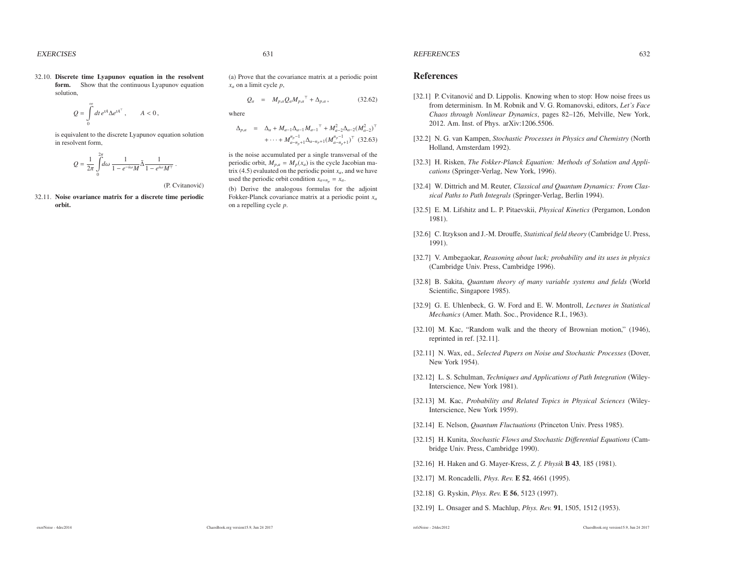### **EXERCISES**

32.10. Discrete time Lyapunov equation in the resolventform. Show that the continuous Lyapunov equation solution,

$$
Q = \int\limits_0^\infty dt \, e^{tA} \Delta e^{tA^\top} \,, \qquad A < 0 \,,
$$

is equivalent to the discrete Lyapunov equation solutionin resolvent form,

$$
Q=\frac{1}{2\pi}\int\limits_0^{2\pi}d\omega\,\frac{1}{1-e^{-i\omega}M}\bar{\Delta}\frac{1}{1-e^{i\omega}M^\top}\;.
$$

(P. Cvitanović)

32.11. Noise ovariance matrix for <sup>a</sup> discrete time periodicorbit.

 $\mathcal{S}$  631

(a) Prove that the covariance matrix at <sup>a</sup> periodic point*xa* on <sup>a</sup> limit cycle *<sup>p</sup>*,

$$
Q_a = M_{p,a} Q_a M_{p,a}{}^{\top} + \Delta_{p,a} , \qquad (32.62)
$$

where

 $\Delta_{p,a}$  =  $\Delta_a + M_{a-1} \Delta_{a-1} M_{a-1}^T + M_{a-2}^2 \Delta_{a-2} (M_{a-2}^2)^T$  $+\cdots+ M_{a-n_p+1}^{n_p-1} \Delta_{a-n_p+1} (M_{a-n_p+1}^{n_p-1})^{\top}$  (32.63)

is the noise accumulated per <sup>a</sup> single transversal of theperiodic orbit,  $M_{p,a} = M_p(x_a)$  is the cycle Jacobian matrix  $(4.5)$  evaluated on the periodic point  $x_a$ , and we have used the periodic orbit condition  $x_{a+n_p} = x_a$ .

(b) Derive the analogous formulas for the adjoint Fokker-Planck covariance matrix at <sup>a</sup> periodic point *<sup>x</sup><sup>a</sup>*on <sup>a</sup> repelling cycle *p*.

### REFERENCES

### References

- [32.1] P. Cvitanović and D. Lippolis. Knowing when to stop: How noise frees us from determinism. In M. Robnik and V. G. Romanovski, editors, *Let's Face Chaos through Nonlinear Dynamics*, pages 82–126, Melville, New York, 2012. Am. Inst. of Phys. arXiv:1206.5506.
- [32.2] N. G. van Kampen, *Stochastic Processes in Physics and Chemistry* (NorthHolland, Amsterdam 1992).
- [32.3] H. Risken, *The Fokker-Planck Equation: Methods of Solution and Applications* (Springer-Verlag, New York, 1996).
- [32.4] W. Dittrich and M. Reuter, *Classical and Quantum Dynamics: From Classical Paths to Path Integrals* (Springer-Verlag, Berlin 1994).
- [32.5] E. M. Lifshitz and L. P. Pitaevskii, *Physical Kinetics* (Pergamon, London1981).
- [32.6] C. Itzykson and J.-M. Drouffe, *Statistical field theory* (Cambridge U. Press, 1991).
- [32.7] V. Ambegaokar, *Reasoning about luck; probability and its uses in <sup>p</sup>hysics*(Cambridge Univ. Press, Cambridge 1996).
- [32.8] B. Sakita, *Quantum theory of many variable systems and fields* (WorldScientific, Singapore 1985).
- [32.9] G. E. Uhlenbeck, G. W. Ford and E. W. Montroll, *Lectures in StatisticalMechanics* (Amer. Math. Soc., Providence R.I., 1963).
- [32.10] M. Kac, "Random walk and the theory of Brownian motion," (1946), reprinted in ref. [32.11].
- [32.11] N. Wax, ed., *Selected Papers on Noise and Stochastic Processes* (Dover, New York 1954).
- [32.12] L. S. Schulman, *Techniques and Applications of Path Integration* (Wiley-Interscience, New York 1981).
- [32.13] M. Kac, *Probability and Related Topics in Physical Sciences* (Wiley-Interscience, New York 1959).
- [32.14] E. Nelson, *Quantum Fluctuations* (Princeton Univ. Press 1985).
- [32.15] H. Kunita, *Stochastic Flows and Stochastic Di*ff*erential Equations* (Cambridge Univ. Press, Cambridge 1990).
- [32.16] H. Haken and G. Mayer-Kress, *Z. f. Physik* <sup>B</sup> <sup>43</sup>, <sup>185</sup> (1981).

[32.17] M. Roncadelli, *Phys. Rev.* E 52, 4661 (1995).

[32.18] G. Ryskin, *Phys. Rev.* E 56, 5123 (1997).

[32.19] L. Onsager and S. Machlup, *Phys. Rev.* 91, 1505, 1512 (1953).

 $\mathbf{S}$  632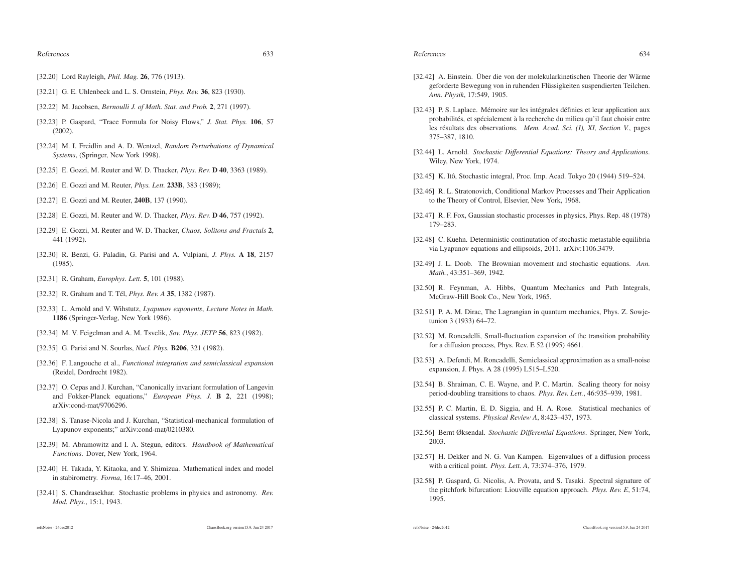### References

## $\sim$  633

References

- [32.20] Lord Rayleigh, *Phil. Mag.* 26, 776 (1913).
- [32.21] G. E. Uhlenbeck and L. S. Ornstein, *Phys. Rev.* 36, 823 (1930).
- [32.22] M. Jacobsen, *Bernoulli J. of Math. Stat. and Prob.* 2, 271 (1997).
- [32.23] P. Gaspard, "Trace Formula for Noisy Flows," *J. Stat. Phys.* <sup>106</sup>, <sup>57</sup>(2002).
- [32.24] M. I. Freidlin and A. D. Wentzel, *Random Perturbations of DynamicalSystems*, (Springer, New York 1998).
- [32.25] E. Gozzi, M. Reuter and W. D. Thacker, *Phys. Rev.* D 40, 3363 (1989).
- [32.26] E. Gozzi and M. Reuter, *Phys. Lett.* 233B, 383 (1989);
- [32.27] E. Gozzi and M. Reuter, 240B, 137 (1990).
- [32.28] E. Gozzi, M. Reuter and W. D. Thacker, *Phys. Rev.* D 46, 757 (1992).
- [32.29] E. Gozzi, M. Reuter and W. D. Thacker, *Chaos, Solitons and Fractals* <sup>2</sup>, 441 (1992).
- [32.30] R. Benzi, G. Paladin, G. Parisi and A. Vulpiani, *J. Phys.* A 18, 2157(1985).
- [32.31] R. Graham, *Europhys. Lett.* 5, 101 (1988).
- [32.32] R. Graham and T. T´el, *Phys. Rev. A* <sup>35</sup>, <sup>1382</sup> (1987).
- [32.33] L. Arnold and V. Wihstutz, *Lyapunov exponents*, *Lecture Notes in Math.* 1186 (Springer-Verlag, New York 1986).
- [32.34] M. V. Feigelman and A. M. Tsvelik, *Sov. Phys. JETP* <sup>56</sup>, <sup>823</sup> (1982).
- [32.35] G. Parisi and N. Sourlas, *Nucl. Phys.* B206, 321 (1982).
- [32.36] F. Langouche et al., *Functional integration and semiclassical expansion*(Reidel, Dordrecht 1982).
- [32.37] O. Cepas and J. Kurchan, "Canonically invariant formulation of Langevin and Fokker-Planck equations," *European Phys. J.* <sup>B</sup> <sup>2</sup>, <sup>221</sup> (1998); arXiv:cond-mat/9706296.
- [32.38] S. Tanase-Nicola and J. Kurchan, "Statistical-mechanical formulation of Lyapunov exponents;" arXiv:cond-mat/0210380.
- [32.39] M. Abramowitz and I. A. Stegun, editors. *Handbook of MathematicalFunctions*. Dover, New York, 1964.
- [32.40] H. Takada, Y. Kitaoka, and Y. Shimizua. Mathematical index and model in stabirometry. *Forma*, 16:17–46, 2001.
- [32.41] S. Chandrasekhar. Stochastic problems in physics and astronomy. *Rev. Mod. Phys.*, 15:1, 1943.

#### refsNoise - 24dec2012

- [32.42] A. Einstein. Über die von der molekularkinetischen Theorie der Wärme geforderte Bewegung von in ruhenden Flüssigkeiten suspendierten Teilchen. *Ann. Physik*, 17:549, 1905.
- [32.43] P. S. Laplace. Mémoire sur les intégrales définies et leur application aux probabilités, et spécialement à la recherche du milieu qu'il faut choisir entre les <sup>r</sup>´esultats des observations. *Mem. Acad. Sci. (I), XI, Section V.*, pages375–387, 1810.
- [32.44] L. Arnold. *Stochastic Di*ff*erential Equations: Theory and Applications*. Wiley, New York, 1974.
- [32.45] K. Itô, Stochastic integral, Proc. Imp. Acad. Tokyo 20 (1944) 519–524.
- [32.46] R. L. Stratonovich, Conditional Markov Processes and Their Application to the Theory of Control, Elsevier, New York, 1968.
- [32.47] R. F. Fox, Gaussian stochastic processes in physics, Phys. Rep. 48 (1978) 179–283.
- [32.48] C. Kuehn. Deterministic continutation of stochastic metastable equilibria via Lyapunov equations and ellipsoids, 2011. arXiv:1106.3479.
- [32.49] J. L. Doob. The Brownian movement and stochastic equations. *Ann. Math.*, 43:351–369, 1942.
- [32.50] R. Feynman, A. Hibbs, Quantum Mechanics and Path Integrals, McGraw-Hill Book Co., New York, 1965.
- [32.51] P. A. M. Dirac, The Lagrangian in quantum mechanics, Phys. Z. Sowjetunion 3 (1933) 64–72.
- [32.52] M. Roncadelli, Small-fluctuation expansion of the transition probability for <sup>a</sup> diffusion process, Phys. Rev. E 52 (1995) 4661.
- [32.53] A. Defendi, M. Roncadelli, Semiclassical approximation as a small-noise expansion, J. Phys. A 28 (1995) L515–L520.
- [32.54] B. Shraiman, C. E. Wayne, and P. C. Martin. Scaling theory for noisy period-doubling transitions to chaos. *Phys. Rev. Lett.*, 46:935–939, 1981.
- [32.55] P. C. Martin, E. D. Siggia, and H. A. Rose. Statistical mechanics of classical systems. *Physical Review A*, 8:423–437, 1973.
- [32.56] Bernt Øksendal. *Stochastic Di*ff*erential Equations*. Springer, New York, 2003.
- [32.57] H. Dekker and N. G. Van Kampen. Eigenvalues of a diffusion process with <sup>a</sup> critical point. *Phys. Lett. A*, 73:374–376, 1979.
- [32.58] P. Gaspard, G. Nicolis, A. Provata, and S. Tasaki. Spectral signature of the pitchfork bifurcation: Liouville equation approach. *Phys. Rev. <sup>E</sup>*, 51:74, 1995.